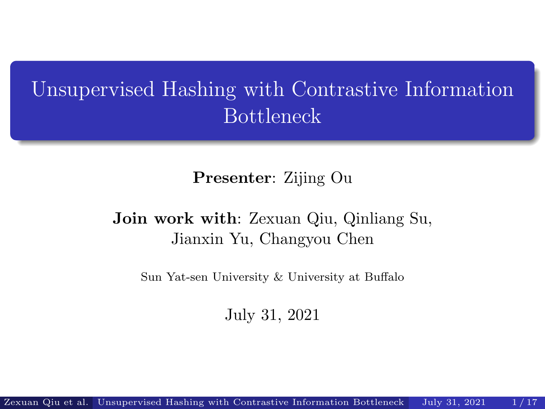# <span id="page-0-0"></span>Unsupervised Hashing with Contrastive Information Bottleneck

Presenter: Zijing Ou

#### Join work with: Zexuan Qiu, Qinliang Su, Jianxin Yu, Changyou Chen

Sun Yat-sen University & University at Buffalo

July 31, 2021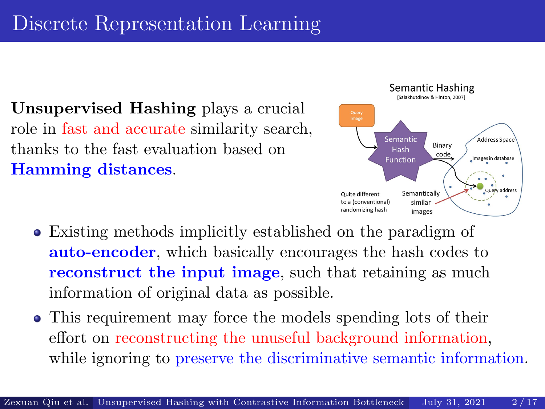Unsupervised Hashing plays a crucial role in fast and accurate similarity search, thanks to the fast evaluation based on Hamming distances.



- Existing methods implicitly established on the paradigm of auto-encoder, which basically encourages the hash codes to reconstruct the input image, such that retaining as much information of original data as possible.
- This requirement may force the models spending lots of their effort on reconstructing the unuseful background information, while ignoring to preserve the discriminative semantic information.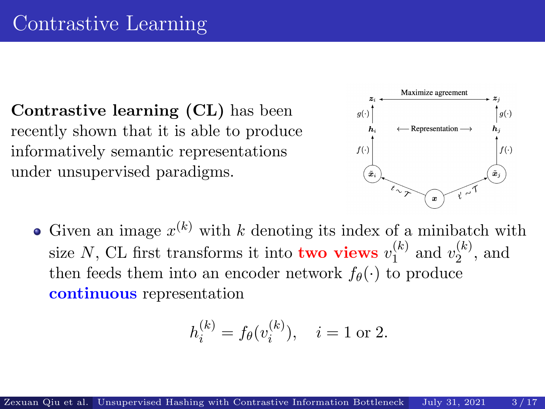Contrastive learning (CL) has been recently shown that it is able to produce informatively semantic representations under unsupervised paradigms.



Given an image  $x^{(k)}$  with k denoting its index of a minibatch with size N, CL first transforms it into **two views**  $v_1^{(k)}$  $\binom{k}{1}$  and  $v_2^{(k)}$  $\binom{\kappa}{2}$ , and then feeds them into an encoder network  $f_{\theta}(\cdot)$  to produce continuous representation

$$
h_i^{(k)} = f_{\theta}(v_i^{(k)}), \quad i = 1 \text{ or } 2.
$$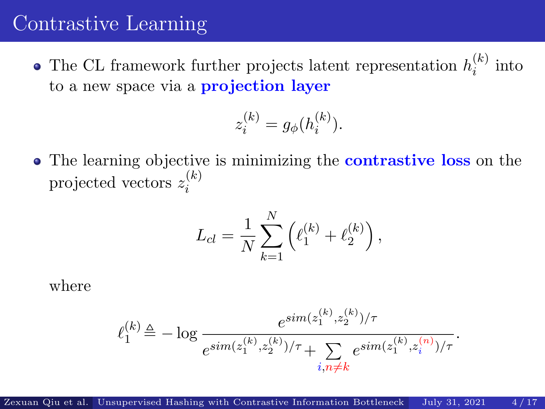#### Contrastive Learning

The CL framework further projects latent representation  $h_i^{(k)}$  $i^{(\kappa)}$  into to a new space via a **projection layer** 

$$
z_i^{(k)} = g_{\phi}(h_i^{(k)}).
$$

• The learning objective is minimizing the **contrastive loss** on the projected vectors  $z_i^{(k)}$ i

$$
L_{cl} = \frac{1}{N} \sum_{k=1}^{N} \left( \ell_1^{(k)} + \ell_2^{(k)} \right),
$$

where

$$
\ell_1^{(k)} \!\triangleq -\log \frac{e^{sim(z_1^{(k)}, z_2^{(k)})/\tau}}{e^{sim(z_1^{(k)}, z_2^{(k)})/\tau} + \sum\limits_{i, n \neq k} e^{sim(z_1^{(k)}, z_i^{(n)})/\tau}}.
$$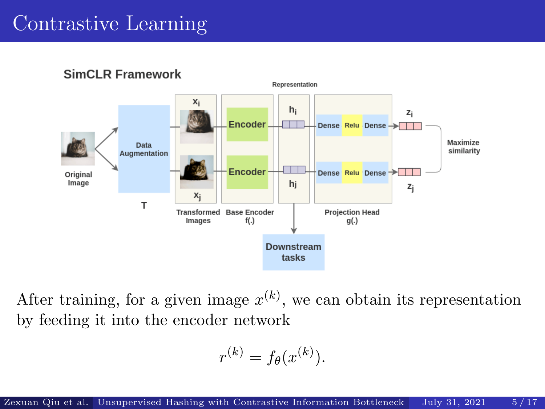# Contrastive Learning



**SimCLR Framework** 

After training, for a given image  $x^{(k)}$ , we can obtain its representation by feeding it into the encoder network

$$
r^{(k)} = f_{\theta}(x^{(k)}).
$$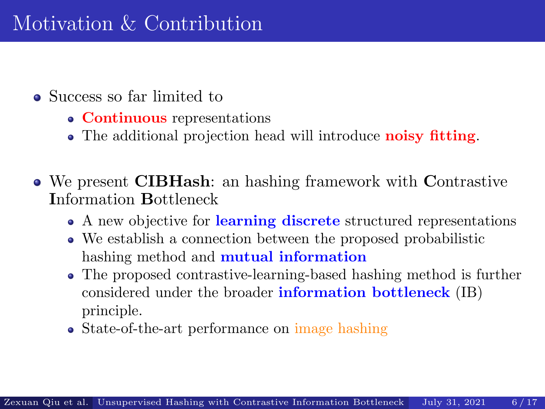- Success so far limited to
	- Continuous representations
	- The additional projection head will introduce noisy fitting.
- We present CIBHash: an hashing framework with Contrastive Information Bottleneck
	- A new objective for learning discrete structured representations
	- We establish a connection between the proposed probabilistic hashing method and **mutual information**
	- The proposed contrastive-learning-based hashing method is further considered under the broader information bottleneck (IB) principle.
	- State-of-the-art performance on image hashing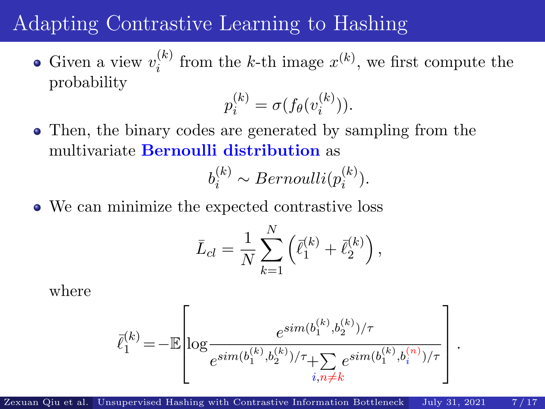# Adapting Contrastive Learning to Hashing

Given a view  $v_i^{(k)}$  $i^{(k)}$  from the k-th image  $x^{(k)}$ , we first compute the probability

$$
p_i^{(k)} = \sigma(f_{\theta}(v_i^{(k)})).
$$

Then, the binary codes are generated by sampling from the multivariate Bernoulli distribution as

$$
b_i^{(k)} \sim Bernoulli(p_i^{(k)}).
$$

• We can minimize the expected contrastive loss

$$
\bar{L}_{cl} = \frac{1}{N} \sum_{k=1}^{N} (\bar{\ell}_{1}^{(k)} + \bar{\ell}_{2}^{(k)}),
$$

where

$$
\bar{\ell}_1^{(k)} \!=\! -\mathbb{E}\!\left[\!\log\!\frac{e^{sim(b_1^{(k)},b_2^{(k)})/\tau}}{e^{sim(b_1^{(k)},b_2^{(k)})/\tau}\!+\!\sum\limits_{i,n\neq k}\!e^{sim(b_1^{(k)},b_i^{(n)})/\tau}}\right]
$$

.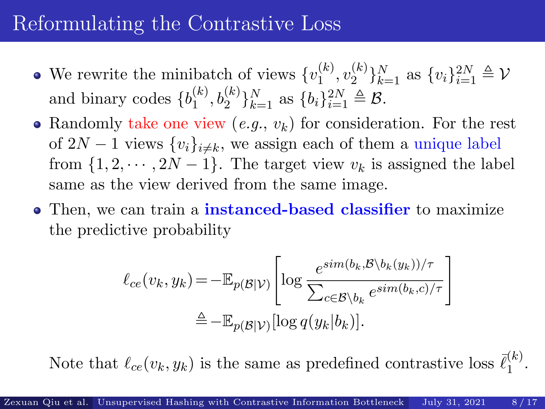# Reformulating the Contrastive Loss

- We rewrite the minibatch of views  $\{v_1^{(k)}\}$  $\binom(k)}{1},v_2^{(k)}$  ${k \choose 2}$ <sub>k=1</sub> as  ${v_i}_{i=1}^{2N} \triangleq \mathcal{V}$ and binary codes  $\{b_1^{(k)}\}$  $\{b_i, b_2^{(k)}\}_{k=1}^N$  as  $\{b_i\}_{i=1}^{2N} \triangleq \mathcal{B}$ .
- Randomly take one view  $(e.g., v_k)$  for consideration. For the rest of  $2N-1$  views  $\{v_i\}_{i\neq k}$ , we assign each of them a unique label from  $\{1, 2, \dots, 2N - 1\}$ . The target view  $v_k$  is assigned the label same as the view derived from the same image.
- Then, we can train a **instanced-based classifier** to maximize the predictive probability

$$
\ell_{ce}(v_k, y_k) = -\mathbb{E}_{p(\mathcal{B}|\mathcal{V})} \left[ \log \frac{e^{sim(b_k, \mathcal{B} \setminus b_k(y_k))/\tau}}{\sum_{c \in \mathcal{B} \setminus b_k} e^{sim(b_k, c)/\tau}} \right]
$$

$$
\stackrel{\Delta}{=} -\mathbb{E}_{p(\mathcal{B}|\mathcal{V})} [\log q(y_k|b_k)].
$$

Note that  $\ell_{ce}(v_k, y_k)$  is the same as predefined contrastive loss  $\bar{\ell}_1^{(k)}$  $\frac{(\kappa)}{1}$ .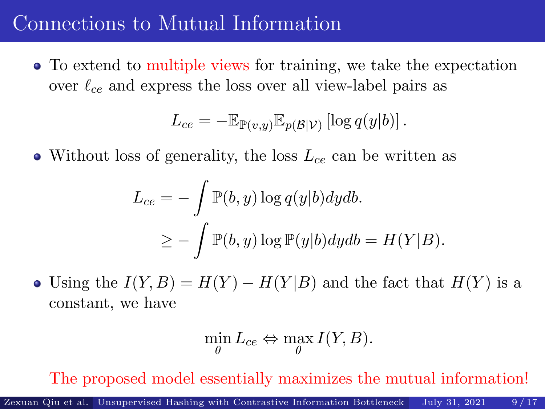# Connections to Mutual Information

To extend to multiple views for training, we take the expectation over  $\ell_{ce}$  and express the loss over all view-label pairs as

$$
L_{ce} = -\mathbb{E}_{\mathbb{P}(v,y)} \mathbb{E}_{p(\mathcal{B}|V)} [\log q(y|b)].
$$

• Without loss of generality, the loss  $L_{ce}$  can be written as

$$
L_{ce} = -\int \mathbb{P}(b, y) \log q(y|b) dy db.
$$
  

$$
\geq -\int \mathbb{P}(b, y) \log \mathbb{P}(y|b) dy db = H(Y|B).
$$

• Using the  $I(Y, B) = H(Y) - H(Y|B)$  and the fact that  $H(Y)$  is a constant, we have

$$
\min_{\theta} L_{ce} \Leftrightarrow \max_{\theta} I(Y, B).
$$

The proposed model essentially maximizes the mutual information!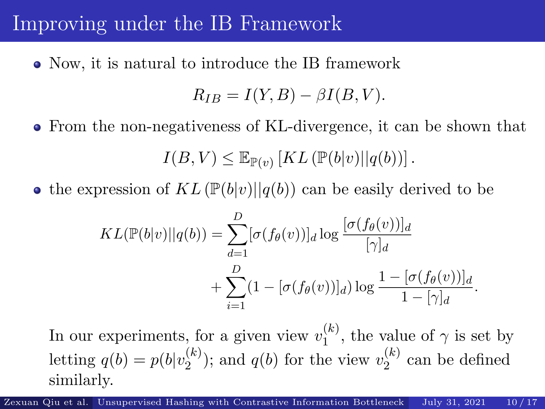# Improving under the IB Framework

Now, it is natural to introduce the IB framework

$$
R_{IB} = I(Y, B) - \beta I(B, V).
$$

From the non-negativeness of KL-divergence, it can be shown that

 $I(B, V) \leq \mathbb{E}_{\mathbb{P}(v)} [KL(\mathbb{P}(b|v)||q(b))]$ .

• the expression of  $KL(\mathbb{P}(b|v)||q(b))$  can be easily derived to be

$$
KL(\mathbb{P}(b|v)||q(b)) = \sum_{d=1}^{D} [\sigma(f_{\theta}(v))]_d \log \frac{[\sigma(f_{\theta}(v))]_d}{[\gamma]_d} + \sum_{i=1}^{D} (1 - [\sigma(f_{\theta}(v))]_d) \log \frac{1 - [\sigma(f_{\theta}(v))]_d}{1 - [\gamma]_d}.
$$

In our experiments, for a given view  $v_1^{(k)}$  $\binom{k}{1}$ , the value of  $\gamma$  is set by letting  $q(b) = p(b|v_2^{(k)})$  $\binom{k}{2}$ ; and  $q(b)$  for the view  $v_2^{(k)}$  $2^{(\kappa)}$  can be defined similarly.

Zexuan Qiu et al. [Unsupervised Hashing with Cont](#page-0-0)rastive Information Bottleneck July 31, 2021 10/17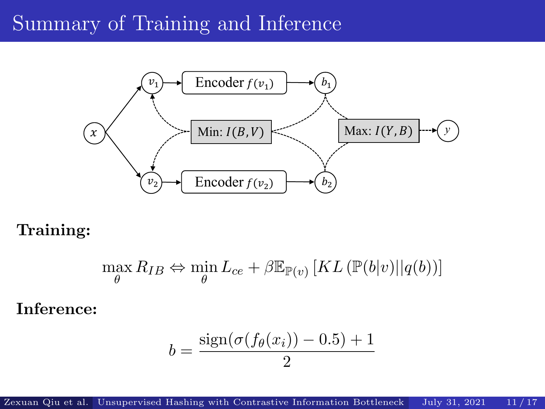# Summary of Training and Inference



Training:

$$
\max_{\theta} R_{IB} \Leftrightarrow \min_{\theta} L_{ce} + \beta \mathbb{E}_{\mathbb{P}(v)} \left[ KL \left( \mathbb{P}(b|v) || q(b) \right) \right]
$$

Inference:

$$
b = \frac{\text{sign}(\sigma(f_{\theta}(x_i)) - 0.5) + 1}{2}
$$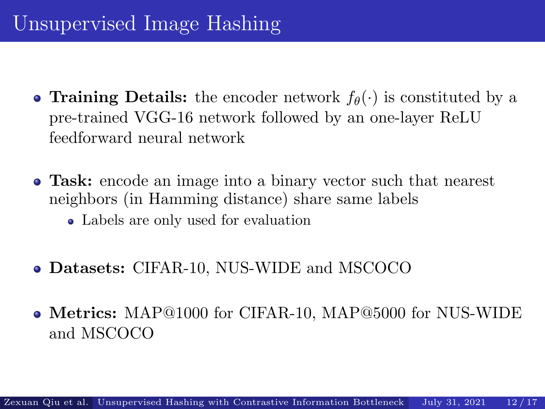- **Training Details:** the encoder network  $f_{\theta}(\cdot)$  is constituted by a pre-trained VGG-16 network followed by an one-layer ReLU feedforward neural network
- Task: encode an image into a binary vector such that nearest neighbors (in Hamming distance) share same labels
	- Labels are only used for evaluation
- Datasets: CIFAR-10, NUS-WIDE and MSCOCO
- Metrics: MAP@1000 for CIFAR-10, MAP@5000 for NUS-WIDE and MSCOCO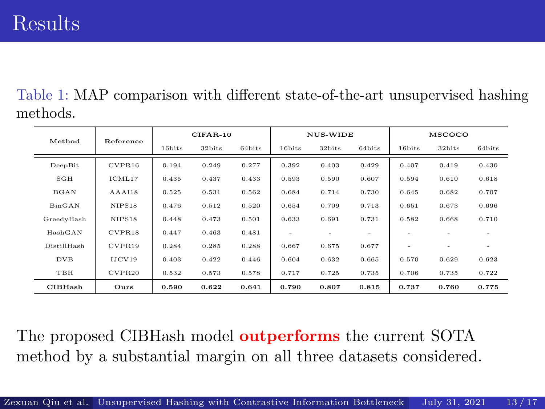Table 1: MAP comparison with different state-of-the-art unsupervised hashing methods.

| Method      | Reference | $CIFAR-10$ |        |        | NUS-WIDE |                          |        | MSCOCO                   |        |                          |
|-------------|-----------|------------|--------|--------|----------|--------------------------|--------|--------------------------|--------|--------------------------|
|             |           | 16bits     | 32bits | 64bits | 16bits   | 32bits                   | 64bits | 16bits                   | 32bits | 64bits                   |
| DeepBit     | CVPR16    | 0.194      | 0.249  | 0.277  | 0.392    | 0.403                    | 0.429  | 0.407                    | 0.419  | 0.430                    |
| SGH         | ICML17    | 0.435      | 0.437  | 0.433  | 0.593    | 0.590                    | 0.607  | 0.594                    | 0.610  | 0.618                    |
| <b>BGAN</b> | AAAI18    | 0.525      | 0.531  | 0.562  | 0.684    | 0.714                    | 0.730  | 0.645                    | 0.682  | 0.707                    |
| BinGAN      | NIPS18    | 0.476      | 0.512  | 0.520  | 0.654    | 0.709                    | 0.713  | 0.651                    | 0.673  | 0.696                    |
| GreedyHash  | NIPS18    | 0.448      | 0.473  | 0.501  | 0.633    | 0.691                    | 0.731  | 0.582                    | 0.668  | 0.710                    |
| HashGAN     | CVPR18    | 0.447      | 0.463  | 0.481  | $\sim$   | $\overline{\phantom{a}}$ |        |                          |        | $\qquad \qquad -$        |
| DistillHash | CVPR19    | 0.284      | 0.285  | 0.288  | 0.667    | 0.675                    | 0.677  | $\overline{\phantom{0}}$ | ۰      | $\overline{\phantom{a}}$ |
| DVB         | IJCV19    | 0.403      | 0.422  | 0.446  | 0.604    | 0.632                    | 0.665  | 0.570                    | 0.629  | 0.623                    |
| TBH         | CVPR20    | 0.532      | 0.573  | 0.578  | 0.717    | 0.725                    | 0.735  | 0.706                    | 0.735  | 0.722                    |
| CIBHash     | Ours      | 0.590      | 0.622  | 0.641  | 0.790    | 0.807                    | 0.815  | 0.737                    | 0.760  | 0.775                    |

The proposed CIBHash model **outperforms** the current SOTA method by a substantial margin on all three datasets considered.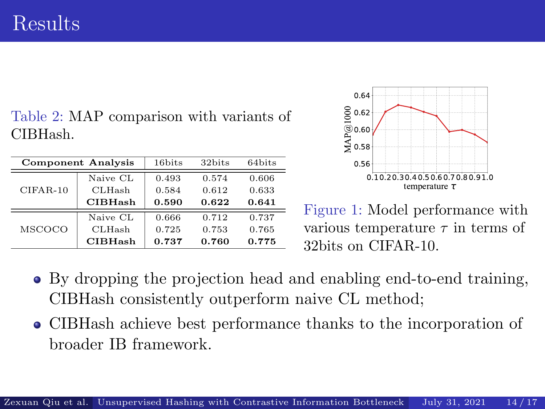# Results

#### Table 2: MAP comparison with variants of CIBHash.

|               | <b>Component Analysis</b> | 16bits<br>32bits<br>64bits |       |       |  |
|---------------|---------------------------|----------------------------|-------|-------|--|
|               | Naive CL                  | 0.493                      | 0.574 | 0.606 |  |
| $CIFAR-10$    | <b>CLHash</b>             | 0.584                      | 0.612 | 0.633 |  |
|               | <b>CIBHash</b>            | 0.590                      | 0.622 | 0.641 |  |
|               | Naive CL                  | 0.666                      | 0.712 | 0.737 |  |
| <b>MSCOCO</b> | <b>CLHash</b>             | 0.725                      | 0.753 | 0.765 |  |
|               | <b>CIBHash</b>            | 0.737                      | 0.760 | 0.775 |  |



Figure 1: Model performance with various temperature  $\tau$  in terms of 32bits on CIFAR-10.

- By dropping the projection head and enabling end-to-end training, CIBHash consistently outperform naive CL method;
- CIBHash achieve best performance thanks to the incorporation of broader IB framework.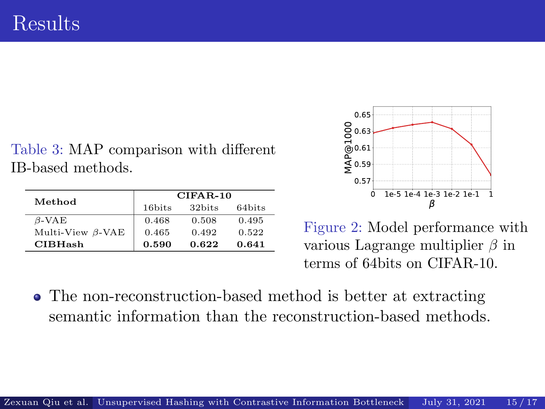Table 3: MAP comparison with different IB-based methods.

| Method                  | $CIFAR-10$                         |       |        |  |  |
|-------------------------|------------------------------------|-------|--------|--|--|
|                         | 32bits<br>16bits<br>0.468<br>0.508 |       | 64bits |  |  |
| $\beta$ -VAE            |                                    |       | 0.495  |  |  |
| Multi-View $\beta$ -VAE | 0.465                              | 0.492 | 0.522  |  |  |
| <b>CIBHash</b>          | 0.590                              | 0.622 | 0.641  |  |  |



Figure 2: Model performance with various Lagrange multiplier  $\beta$  in terms of 64bits on CIFAR-10.

• The non-reconstruction-based method is better at extracting semantic information than the reconstruction-based methods.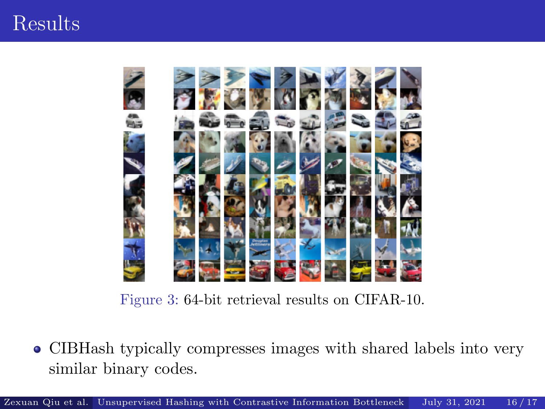# Results



Figure 3: 64-bit retrieval results on CIFAR-10.

CIBHash typically compresses images with shared labels into very  $\bullet$ similar binary codes.